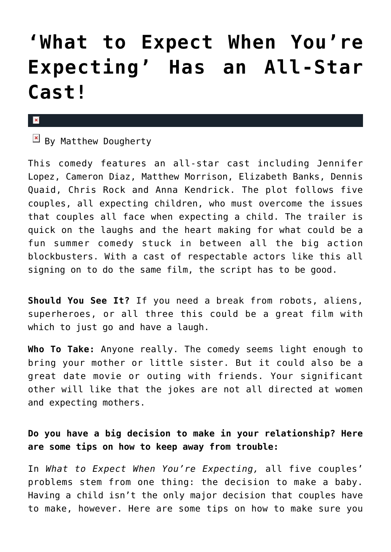## **['What to Expect When You're](https://cupidspulse.com/30809/what-expect-when-expecting-all-star-cast-movie-review/) [Expecting' Has an All-Star](https://cupidspulse.com/30809/what-expect-when-expecting-all-star-cast-movie-review/) [Cast!](https://cupidspulse.com/30809/what-expect-when-expecting-all-star-cast-movie-review/)**

## $\pmb{\times}$

 $\boxed{\times}$  By Matthew Dougherty

This comedy features an all-star cast including Jennifer Lopez, Cameron Diaz, Matthew Morrison, Elizabeth Banks, Dennis Quaid, Chris Rock and Anna Kendrick. The plot follows five couples, all expecting children, who must overcome the issues that couples all face when expecting a child. The trailer is quick on the laughs and the heart making for what could be a fun summer comedy stuck in between all the big action blockbusters. With a cast of respectable actors like this all signing on to do the same film, the script has to be good.

**Should You See It?** If you need a break from robots, aliens, superheroes, or all three this could be a great film with which to just go and have a laugh.

**Who To Take:** Anyone really. The comedy seems light enough to bring your mother or little sister. But it could also be a great date movie or outing with friends. Your significant other will like that the jokes are not all directed at women and expecting mothers.

## **Do you have a big decision to make in your relationship? Here are some tips on how to keep away from trouble:**

In *What to Expect When You're Expecting,* all five couples' problems stem from one thing: the decision to make a baby. Having a child isn't the only major decision that couples have to make, however. Here are some tips on how to make sure you